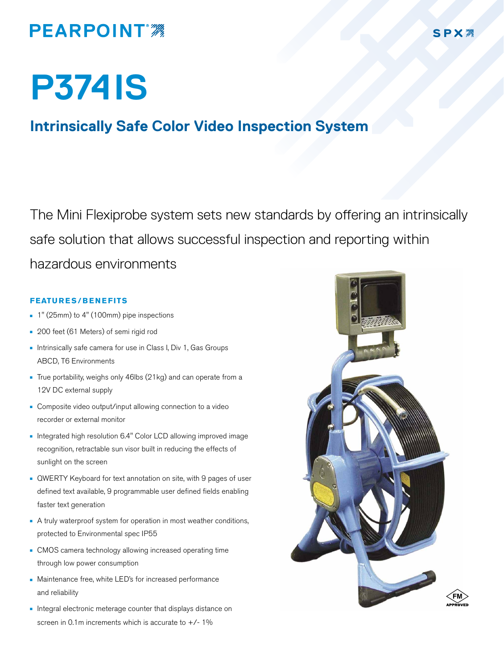## **PEARPOINT**

# **P374IS**

### **Intrinsically Safe Color Video Inspection System**

The Mini Flexiprobe system sets new standards by offering an intrinsically safe solution that allows successful inspection and reporting within hazardous environments

#### **FEATURES/BENEFITS**

- n 1" (25mm) to 4" (100mm) pipe inspections
- <sup>n</sup> 200 feet (61 Meters) of semi rigid rod
- **n** Intrinsically safe camera for use in Class I, Div 1, Gas Groups ABCD, T6 Environments
- True portability, weighs only 46lbs (21kg) and can operate from a 12V DC external supply
- Composite video output/input allowing connection to a video recorder or external monitor
- n Integrated high resolution 6.4" Color LCD allowing improved image recognition, retractable sun visor built in reducing the effects of sunlight on the screen
- **QWERTY Keyboard for text annotation on site, with 9 pages of user** defined text available, 9 programmable user defined fields enabling faster text generation
- A truly waterproof system for operation in most weather conditions, protected to Environmental spec IP55
- **n** CMOS camera technology allowing increased operating time through low power consumption
- Maintenance free, white LED's for increased performance and reliability
- n Integral electronic meterage counter that displays distance on screen in 0.1m increments which is accurate to  $+/- 1\%$